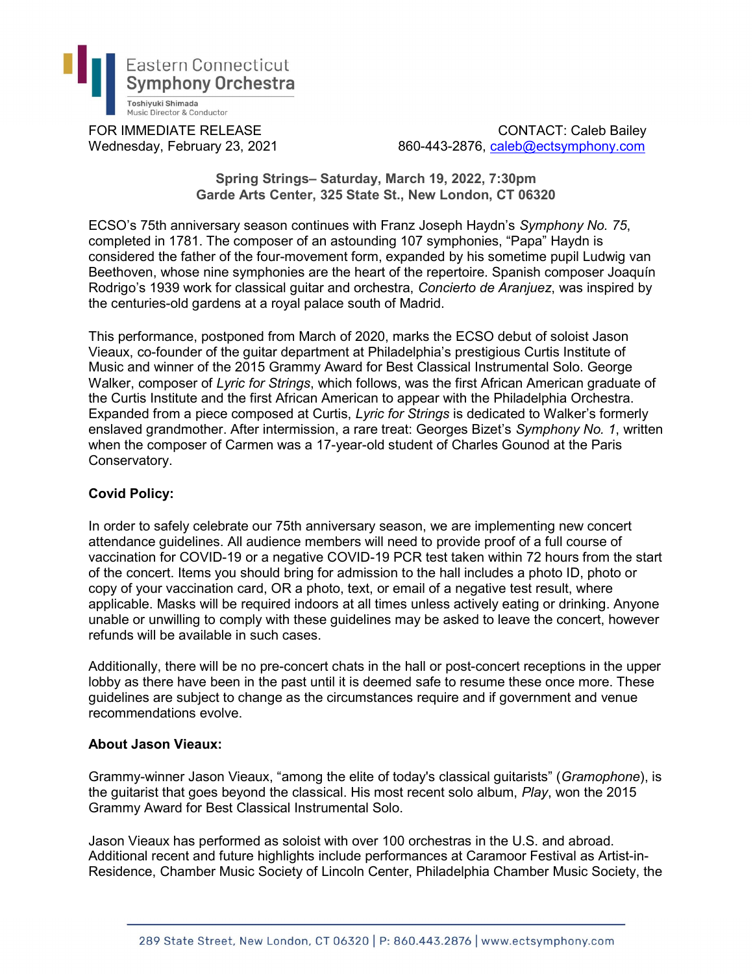

FOR IMMEDIATE RELEASE CONTACT: Caleb Bailey Wednesday, February 23, 2021 860-443-2876, caleb@ectsymphony.com

> Spring Strings– Saturday, March 19, 2022, 7:30pm Garde Arts Center, 325 State St., New London, CT 06320

ECSO's 75th anniversary season continues with Franz Joseph Haydn's Symphony No. 75, completed in 1781. The composer of an astounding 107 symphonies, "Papa" Haydn is considered the father of the four-movement form, expanded by his sometime pupil Ludwig van Beethoven, whose nine symphonies are the heart of the repertoire. Spanish composer Joaquín Rodrigo's 1939 work for classical guitar and orchestra, Concierto de Aranjuez, was inspired by the centuries-old gardens at a royal palace south of Madrid.

This performance, postponed from March of 2020, marks the ECSO debut of soloist Jason Vieaux, co-founder of the guitar department at Philadelphia's prestigious Curtis Institute of Music and winner of the 2015 Grammy Award for Best Classical Instrumental Solo. George Walker, composer of Lyric for Strings, which follows, was the first African American graduate of the Curtis Institute and the first African American to appear with the Philadelphia Orchestra. Expanded from a piece composed at Curtis, Lyric for Strings is dedicated to Walker's formerly enslaved grandmother. After intermission, a rare treat: Georges Bizet's Symphony No. 1, written when the composer of Carmen was a 17-year-old student of Charles Gounod at the Paris Conservatory.

## Covid Policy:

In order to safely celebrate our 75th anniversary season, we are implementing new concert attendance guidelines. All audience members will need to provide proof of a full course of vaccination for COVID-19 or a negative COVID-19 PCR test taken within 72 hours from the start of the concert. Items you should bring for admission to the hall includes a photo ID, photo or copy of your vaccination card, OR a photo, text, or email of a negative test result, where applicable. Masks will be required indoors at all times unless actively eating or drinking. Anyone unable or unwilling to comply with these guidelines may be asked to leave the concert, however refunds will be available in such cases.

Additionally, there will be no pre-concert chats in the hall or post-concert receptions in the upper lobby as there have been in the past until it is deemed safe to resume these once more. These guidelines are subject to change as the circumstances require and if government and venue recommendations evolve.

## About Jason Vieaux:

Grammy-winner Jason Vieaux, "among the elite of today's classical guitarists" (Gramophone), is the guitarist that goes beyond the classical. His most recent solo album, Play, won the 2015 Grammy Award for Best Classical Instrumental Solo.

Jason Vieaux has performed as soloist with over 100 orchestras in the U.S. and abroad. Additional recent and future highlights include performances at Caramoor Festival as Artist-in-Residence, Chamber Music Society of Lincoln Center, Philadelphia Chamber Music Society, the